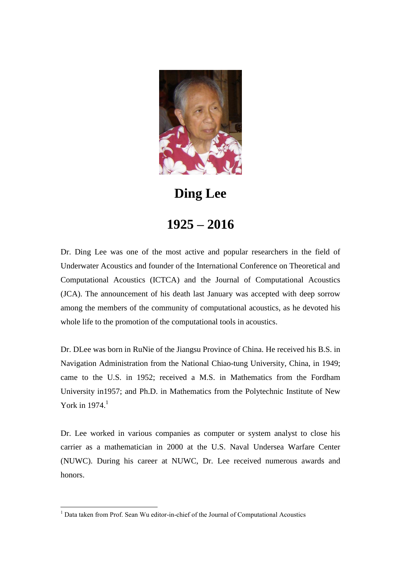

**Ding Lee**

## **1925 – 2016**

Dr. Ding Lee was one of the most active and popular researchers in the field of Underwater Acoustics and founder of the International Conference on Theoretical and Computational Acoustics (ICTCA) and the Journal of Computational Acoustics (JCA). The announcement of his death last January was accepted with deep sorrow among the members of the community of computational acoustics, as he devoted his whole life to the promotion of the computational tools in acoustics.

Dr. DLee was born in RuNie of the Jiangsu Province of China. He received his B.S. in Navigation Administration from the National Chiao-tung University, China, in 1949; came to the U.S. in 1952; received a M.S. in Mathematics from the Fordham University in1957; and Ph.D. in Mathematics from the Polytechnic Institute of New York in  $1974<sup>1</sup>$ 

Dr. Lee worked in various companies as computer or system analyst to close his carrier as a mathematician in 2000 at the U.S. Naval Undersea Warfare Center (NUWC). During his career at NUWC, Dr. Lee received numerous awards and honors.

1

<sup>&</sup>lt;sup>1</sup> Data taken from Prof. Sean Wu editor-in-chief of the Journal of Computational Acoustics